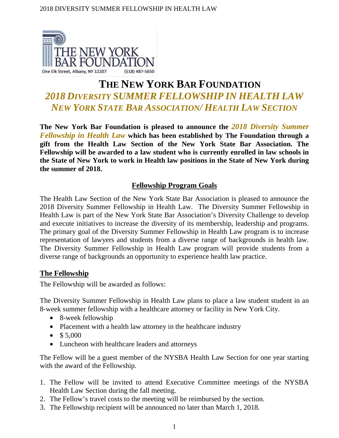

# **THE NEW YORK BAR FOUNDATION** *2018 DIVERSITY SUMMER FELLOWSHIP IN HEALTH LAW NEW YORK STATE BAR ASSOCIATION/ HEALTH LAW SECTION*

**The New York Bar Foundation is pleased to announce the** *2018 Diversity Summer Fellowship in Health Law* **which has been established by The Foundation through a gift from the Health Law Section of the New York State Bar Association. The Fellowship will be awarded to a law student who is currently enrolled in law schools in the State of New York to work in Health law positions in the State of New York during the summer of 2018.** 

## **Fellowship Program Goals**

The Health Law Section of the New York State Bar Association is pleased to announce the 2018 Diversity Summer Fellowship in Health Law. The Diversity Summer Fellowship in Health Law is part of the New York State Bar Association's Diversity Challenge to develop and execute initiatives to increase the diversity of its membership, leadership and programs. The primary goal of the Diversity Summer Fellowship in Health Law program is to increase representation of lawyers and students from a diverse range of backgrounds in health law. The Diversity Summer Fellowship in Health Law program will provide students from a diverse range of backgrounds an opportunity to experience health law practice.

## **The Fellowship**

The Fellowship will be awarded as follows:

The Diversity Summer Fellowship in Health Law plans to place a law student student in an 8-week summer fellowship with a healthcare attorney or facility in New York City.

- 8-week fellowship
- Placement with a health law attorney in the healthcare industry
- $$5,000$
- Luncheon with healthcare leaders and attorneys

The Fellow will be a guest member of the NYSBA Health Law Section for one year starting with the award of the Fellowship.

- 1. The Fellow will be invited to attend Executive Committee meetings of the NYSBA Health Law Section during the fall meeting.
- 2. The Fellow's travel costs to the meeting will be reimbursed by the section.
- 3. The Fellowship recipient will be announced no later than March 1, 2018.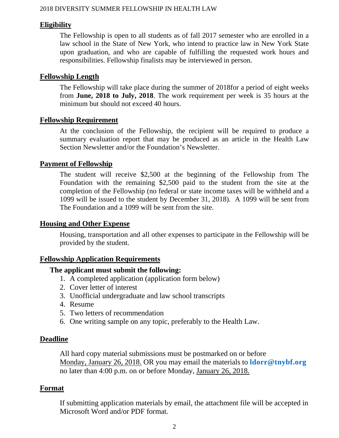#### **Eligibility**

The Fellowship is open to all students as of fall 2017 semester who are enrolled in a law school in the State of New York, who intend to practice law in New York State upon graduation, and who are capable of fulfilling the requested work hours and responsibilities. Fellowship finalists may be interviewed in person.

### **Fellowship Length**

The Fellowship will take place during the summer of 2018for a period of eight weeks from **June, 2018 to July, 2018**. The work requirement per week is 35 hours at the minimum but should not exceed 40 hours.

#### **Fellowship Requirement**

At the conclusion of the Fellowship, the recipient will be required to produce a summary evaluation report that may be produced as an article in the Health Law Section Newsletter and/or the Foundation's Newsletter.

## **Payment of Fellowship**

The student will receive \$2,500 at the beginning of the Fellowship from The Foundation with the remaining \$2,500 paid to the student from the site at the completion of the Fellowship (no federal or state income taxes will be withheld and a 1099 will be issued to the student by December 31, 2018). A 1099 will be sent from The Foundation and a 1099 will be sent from the site.

#### **Housing and Other Expense**

Housing, transportation and all other expenses to participate in the Fellowship will be provided by the student.

#### **Fellowship Application Requirements**

#### **The applicant must submit the following:**

- 1. A completed application (application form below)
- 2. Cover letter of interest
- 3. Unofficial undergraduate and law school transcripts
- 4. Resume
- 5. Two letters of recommendation
- 6. One writing sample on any topic, preferably to the Health Law.

#### **Deadline**

All hard copy material submissions must be postmarked on or before Monday, January 26, 2018. OR you may email the materials to **[ldorr@tnybf.org](mailto:ldorr@tnybf.org)** no later than 4:00 p.m. on or before Monday, January 26, 2018.

#### **Format**

If submitting application materials by email, the attachment file will be accepted in Microsoft Word and/or PDF format.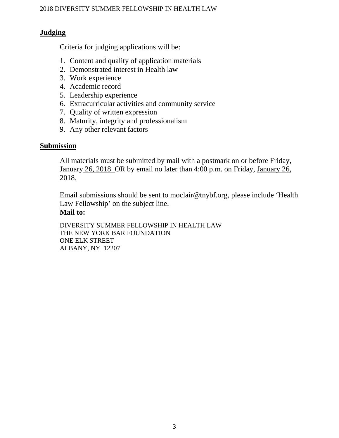## **Judging**

Criteria for judging applications will be:

- 1. Content and quality of application materials
- 2. Demonstrated interest in Health law
- 3. Work experience
- 4. Academic record
- 5. Leadership experience
- 6. Extracurricular activities and community service
- 7. Quality of written expression
- 8. Maturity, integrity and professionalism
- 9. Any other relevant factors

#### **Submission**

All materials must be submitted by mail with a postmark on or before Friday, January 26, 2018 OR by email no later than 4:00 p.m. on Friday, January 26, 2018.

Email submissions should be sent to moclair@tnybf.org, please include 'Health Law Fellowship' on the subject line.

## **Mail to:**

DIVERSITY SUMMER FELLOWSHIP IN HEALTH LAW THE NEW YORK BAR FOUNDATION ONE ELK STREET ALBANY, NY 12207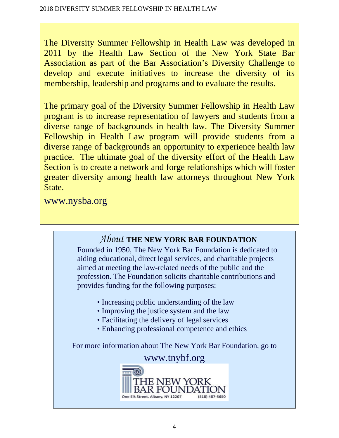The Diversity Summer Fellowship in Health Law was developed in 2011 by the Health Law Section of the New York State Bar Association as part of the Bar Association's Diversity Challenge to develop and execute initiatives to increase the diversity of its membership, leadership and programs and to evaluate the results.

The primary goal of the Diversity Summer Fellowship in Health Law program is to increase representation of lawyers and students from a diverse range of backgrounds in health law. The Diversity Summer Fellowship in Health Law program will provide students from a diverse range of backgrounds an opportunity to experience health law practice. The ultimate goal of the diversity effort of the Health Law Section is to create a network and forge relationships which will foster greater diversity among health law attorneys throughout New York State.

www.nysba.org

# *About* **THE NEW YORK BAR FOUNDATION**

Founded in 1950, The New York Bar Foundation is dedicated to aiding educational, direct legal services, and charitable projects aimed at meeting the law-related needs of the public and the profession. The Foundation solicits charitable contributions and provides funding for the following purposes:

- Increasing public understanding of the law
- Improving the justice system and the law
- Facilitating the delivery of legal services
- Enhancing professional competence and ethics

For more information about The New York Bar Foundation, go to

## www.tnybf.org

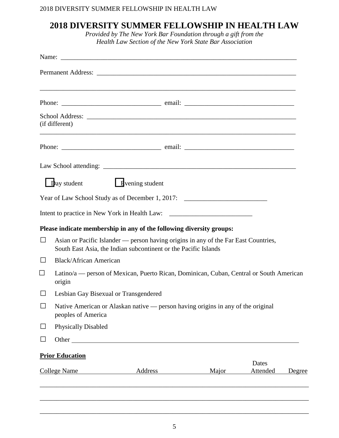## **2018 DIVERSITY SUMMER FELLOWSHIP IN HEALTH LAW**

*Provided by The New York Bar Foundation through a gift from the Health Law Section of the New York State Bar Association*

|                     | (if different)                                                                                                                                         |                                                                                   |       |                   |        |  |
|---------------------|--------------------------------------------------------------------------------------------------------------------------------------------------------|-----------------------------------------------------------------------------------|-------|-------------------|--------|--|
|                     |                                                                                                                                                        |                                                                                   |       |                   |        |  |
|                     |                                                                                                                                                        |                                                                                   |       |                   |        |  |
|                     | $\Box$ bay student                                                                                                                                     | Evening student                                                                   |       |                   |        |  |
|                     |                                                                                                                                                        | Year of Law School Study as of December 1, 2017: _______________________________  |       |                   |        |  |
|                     |                                                                                                                                                        | Intent to practice in New York in Health Law: ___________________________________ |       |                   |        |  |
|                     |                                                                                                                                                        | Please indicate membership in any of the following diversity groups:              |       |                   |        |  |
| $\Box$              | Asian or Pacific Islander — person having origins in any of the Far East Countries,<br>South East Asia, the Indian subcontinent or the Pacific Islands |                                                                                   |       |                   |        |  |
|                     | <b>Black/African American</b>                                                                                                                          |                                                                                   |       |                   |        |  |
| $\sim$              | Latino/a — person of Mexican, Puerto Rican, Dominican, Cuban, Central or South American<br>origin                                                      |                                                                                   |       |                   |        |  |
|                     |                                                                                                                                                        | Lesbian Gay Bisexual or Transgendered                                             |       |                   |        |  |
| ⊔                   | Native American or Alaskan native — person having origins in any of the original<br>peoples of America                                                 |                                                                                   |       |                   |        |  |
| ⊔                   | <b>Physically Disabled</b>                                                                                                                             |                                                                                   |       |                   |        |  |
| $\Box$              |                                                                                                                                                        |                                                                                   |       |                   |        |  |
|                     | <b>Prior Education</b>                                                                                                                                 |                                                                                   |       |                   |        |  |
| <b>College Name</b> |                                                                                                                                                        | Address                                                                           | Major | Dates<br>Attended | Degree |  |
|                     |                                                                                                                                                        |                                                                                   |       |                   |        |  |

\_\_\_\_\_\_\_\_\_\_\_\_\_\_\_\_\_\_\_\_\_\_\_\_\_\_\_\_\_\_\_\_\_\_\_\_\_\_\_\_\_\_\_\_\_\_\_\_\_\_\_\_\_\_\_\_\_\_\_\_\_\_\_\_\_\_\_\_\_\_\_\_\_\_\_\_\_\_\_\_\_